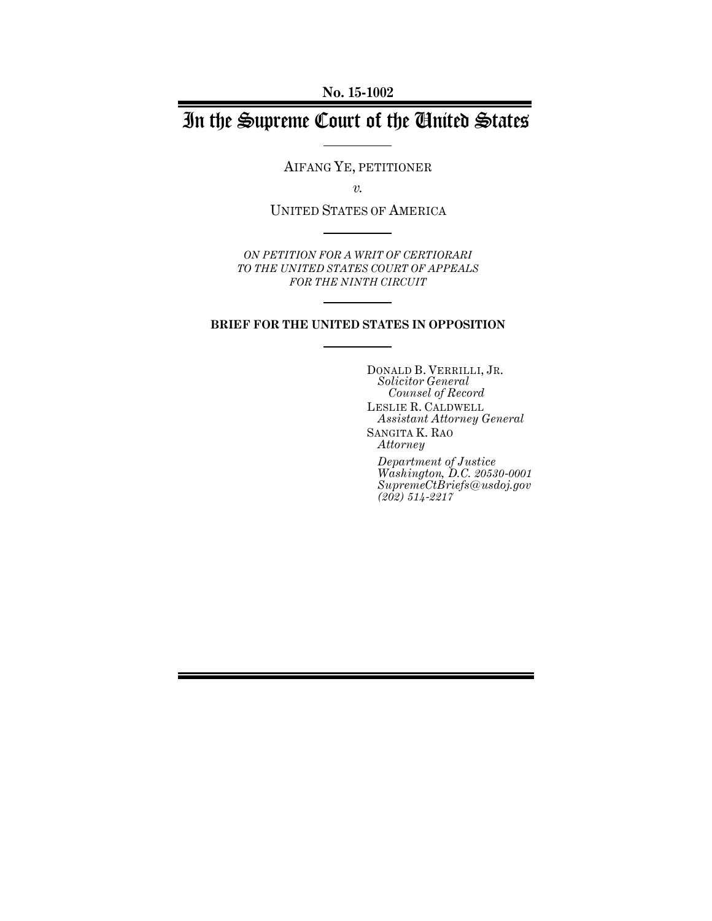**No. 15-1002**

# In the Supreme Court of the United States

AIFANG YE, PETITIONER

*v.*

UNITED STATES OF AMERICA

*ON PETITION FOR A WRIT OF CERTIORARI TO THE UNITED STATES COURT OF APPEALS FOR THE NINTH CIRCUIT*

#### **BRIEF FOR THE UNITED STATES IN OPPOSITION**

DONALD B. VERRILLI, JR. *Solicitor General Counsel of Record* LESLIE R. CALDWELL *Assistant Attorney General* SANGITA K. RAO *Attorney Department of Justice Washington, D.C. 20530-0001 SupremeCtBriefs@usdoj.gov (202) 514-2217*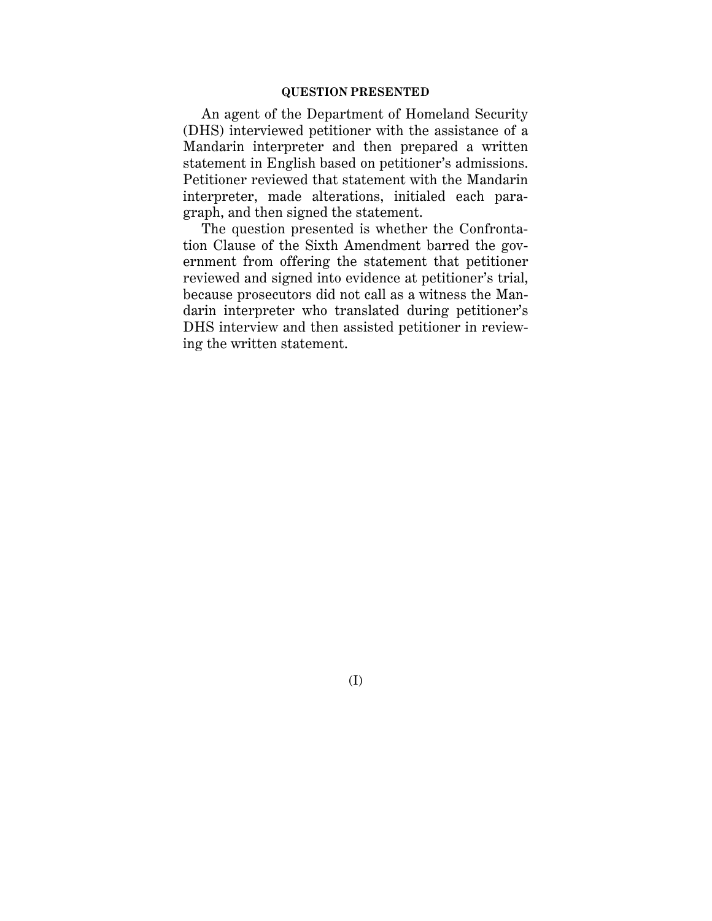### **QUESTION PRESENTED**

An agent of the Department of Homeland Security (DHS) interviewed petitioner with the assistance of a Mandarin interpreter and then prepared a written statement in English based on petitioner's admissions. Petitioner reviewed that statement with the Mandarin interpreter, made alterations, initialed each paragraph, and then signed the statement.

The question presented is whether the Confrontation Clause of the Sixth Amendment barred the government from offering the statement that petitioner reviewed and signed into evidence at petitioner's trial, because prosecutors did not call as a witness the Mandarin interpreter who translated during petitioner's DHS interview and then assisted petitioner in reviewing the written statement.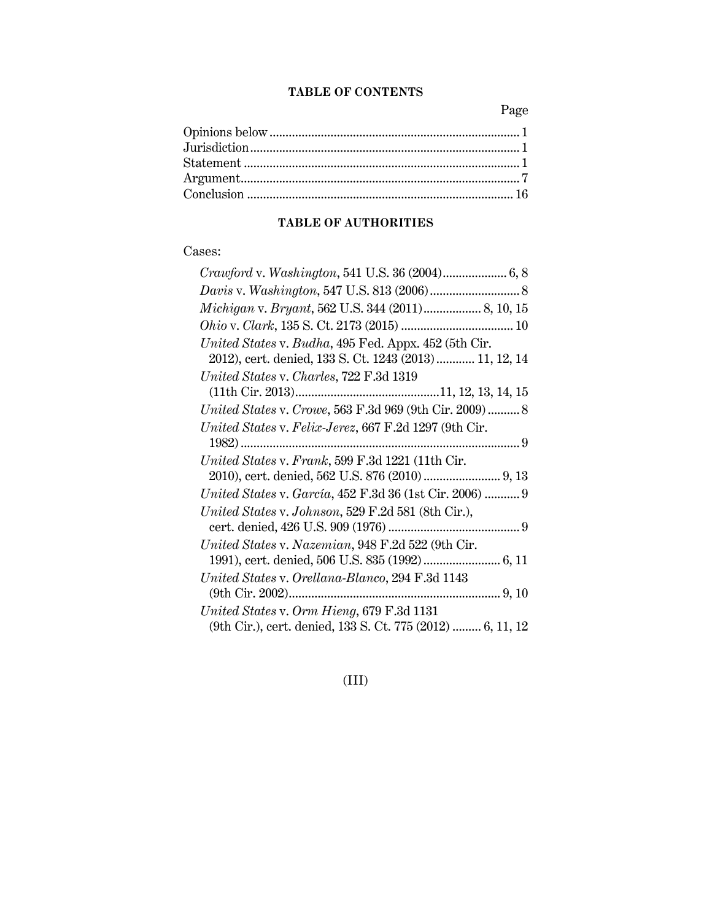## **TABLE OF CONTENTS**

Page

### **TABLE OF AUTHORITIES**

## Cases:

| Crawford v. Washington, 541 U.S. 36 (2004) 6, 8                                                         |
|---------------------------------------------------------------------------------------------------------|
|                                                                                                         |
|                                                                                                         |
|                                                                                                         |
| United States v. Budha, 495 Fed. Appx. 452 (5th Cir.                                                    |
| 2012), cert. denied, 133 S. Ct. 1243 (2013) 11, 12, 14                                                  |
| United States v. Charles, 722 F.3d 1319                                                                 |
|                                                                                                         |
| United States v. Crowe, 563 F.3d 969 (9th Cir. 2009)  8                                                 |
| United States v. Felix-Jerez, 667 F.2d 1297 (9th Cir.                                                   |
|                                                                                                         |
|                                                                                                         |
| United States v. Frank, 599 F.3d 1221 (11th Cir.                                                        |
|                                                                                                         |
| United States v. García, 452 F.3d 36 (1st Cir. 2006)  9                                                 |
| United States v. Johnson, 529 F.2d 581 (8th Cir.),                                                      |
|                                                                                                         |
| United States v. Nazemian, 948 F.2d 522 (9th Cir.                                                       |
|                                                                                                         |
| United States v. Orellana-Blanco, 294 F.3d 1143                                                         |
|                                                                                                         |
| United States v. Orm Hieng, 679 F.3d 1131<br>(9th Cir.), cert. denied, 133 S. Ct. 775 (2012)  6, 11, 12 |

## (III)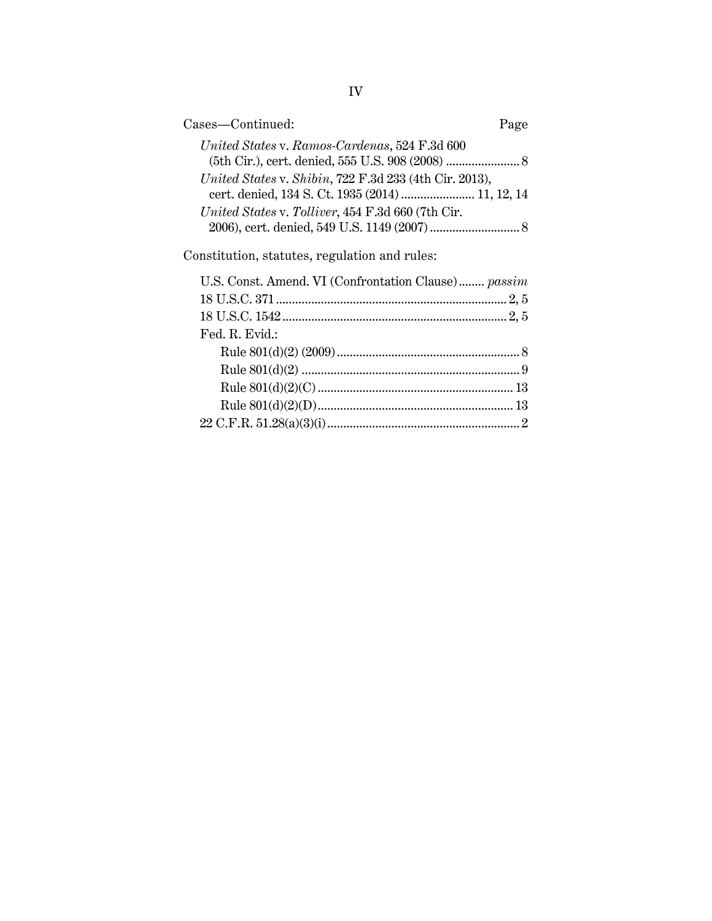| Cases—Continued:                                                                                           | Page |
|------------------------------------------------------------------------------------------------------------|------|
| United States v. Ramos-Cardenas, 524 F.3d 600                                                              |      |
| United States v. Shibin, 722 F.3d 233 (4th Cir. 2013),<br>cert. denied, 134 S. Ct. 1935 (2014)  11, 12, 14 |      |
| United States v. Tolliver, 454 F.3d 660 (7th Cir.                                                          |      |
|                                                                                                            |      |
| Constitution, statutes, regulation and rules:                                                              |      |
| U.S. Const. Amend. VI (Confrontation Clause) passim                                                        |      |
|                                                                                                            |      |
|                                                                                                            |      |
| Fed. R. Evid.:                                                                                             |      |
|                                                                                                            |      |
|                                                                                                            |      |
|                                                                                                            |      |
|                                                                                                            |      |
|                                                                                                            |      |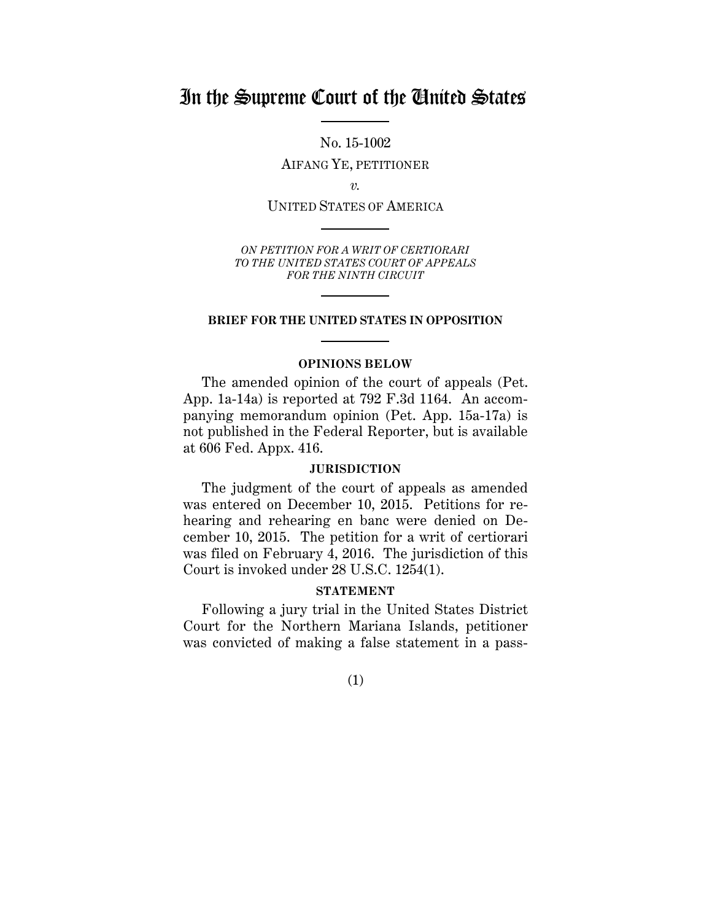## In the Supreme Court of the United States

No. 15-1002

AIFANG YE, PETITIONER

*v.*

UNITED STATES OF AMERICA

*ON PETITION FOR A WRIT OF CERTIORARI TO THE UNITED STATES COURT OF APPEALS FOR THE NINTH CIRCUIT*

### **BRIEF FOR THE UNITED STATES IN OPPOSITION**

### **OPINIONS BELOW**

The amended opinion of the court of appeals (Pet. App. 1a-14a) is reported at 792 F.3d 1164. An accompanying memorandum opinion (Pet. App. 15a-17a) is not published in the Federal Reporter, but is available at 606 Fed. Appx. 416.

### **JURISDICTION**

The judgment of the court of appeals as amended was entered on December 10, 2015. Petitions for rehearing and rehearing en banc were denied on December 10, 2015. The petition for a writ of certiorari was filed on February 4, 2016. The jurisdiction of this Court is invoked under 28 U.S.C. 1254(1).

### **STATEMENT**

Following a jury trial in the United States District Court for the Northern Mariana Islands, petitioner was convicted of making a false statement in a pass-

(1)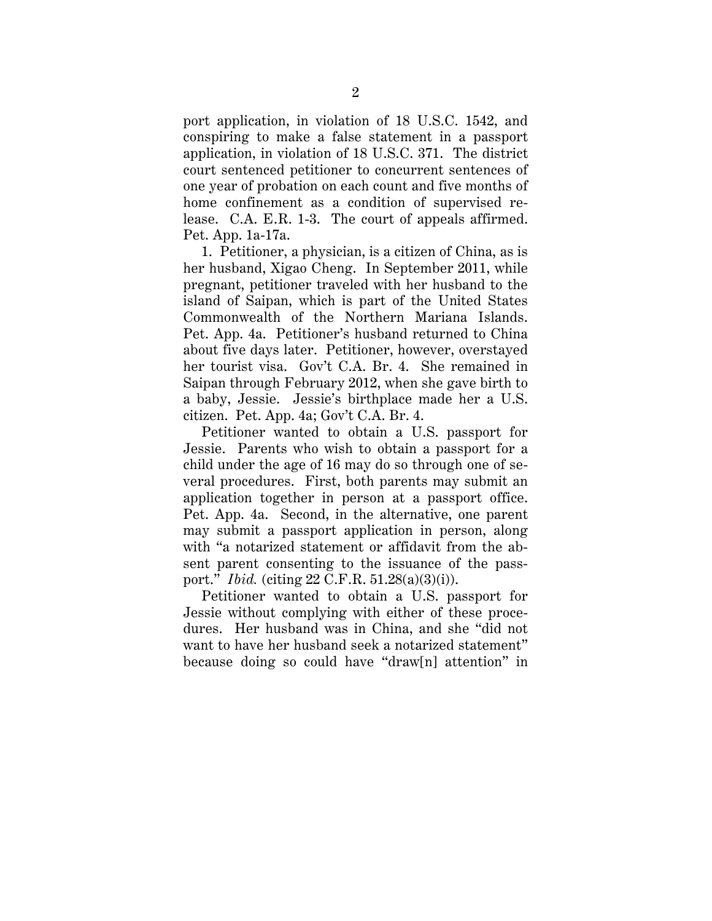port application, in violation of 18 U.S.C. 1542, and conspiring to make a false statement in a passport application, in violation of 18 U.S.C. 371. The district court sentenced petitioner to concurrent sentences of one year of probation on each count and five months of home confinement as a condition of supervised release. C.A. E.R. 1-3. The court of appeals affirmed. Pet. App. 1a-17a.

1. Petitioner, a physician, is a citizen of China, as is her husband, Xigao Cheng. In September 2011, while pregnant, petitioner traveled with her husband to the island of Saipan, which is part of the United States Commonwealth of the Northern Mariana Islands. Pet. App. 4a. Petitioner's husband returned to China about five days later. Petitioner, however, overstayed her tourist visa. Gov't C.A. Br. 4. She remained in Saipan through February 2012, when she gave birth to a baby, Jessie. Jessie's birthplace made her a U.S. citizen. Pet. App. 4a; Gov't C.A. Br. 4.

Petitioner wanted to obtain a U.S. passport for Jessie. Parents who wish to obtain a passport for a child under the age of 16 may do so through one of several procedures. First, both parents may submit an application together in person at a passport office. Pet. App. 4a. Second, in the alternative, one parent may submit a passport application in person, along with "a notarized statement or affidavit from the absent parent consenting to the issuance of the passport." *Ibid.* (citing 22 C.F.R. 51.28(a)(3)(i)).

Petitioner wanted to obtain a U.S. passport for Jessie without complying with either of these procedures. Her husband was in China, and she "did not want to have her husband seek a notarized statement" because doing so could have "draw[n] attention" in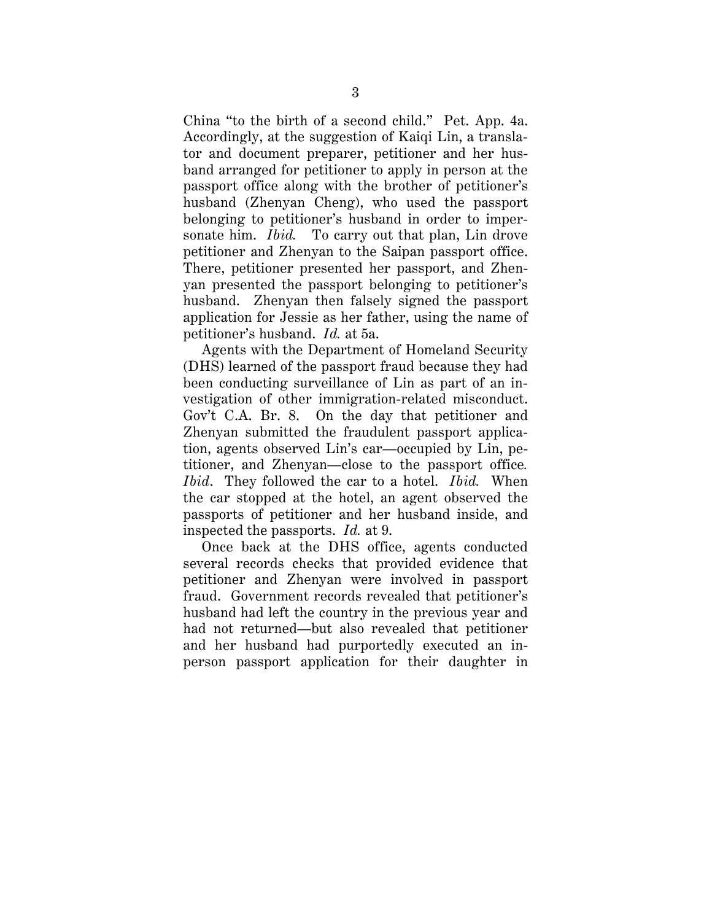China "to the birth of a second child." Pet. App. 4a. Accordingly, at the suggestion of Kaiqi Lin, a translator and document preparer, petitioner and her husband arranged for petitioner to apply in person at the passport office along with the brother of petitioner's husband (Zhenyan Cheng), who used the passport belonging to petitioner's husband in order to impersonate him. *Ibid.* To carry out that plan, Lin drove petitioner and Zhenyan to the Saipan passport office. There, petitioner presented her passport, and Zhenyan presented the passport belonging to petitioner's husband. Zhenyan then falsely signed the passport application for Jessie as her father, using the name of petitioner's husband. *Id.* at 5a.

Agents with the Department of Homeland Security (DHS) learned of the passport fraud because they had been conducting surveillance of Lin as part of an investigation of other immigration-related misconduct. Gov't C.A. Br. 8. On the day that petitioner and Zhenyan submitted the fraudulent passport application, agents observed Lin's car—occupied by Lin, petitioner, and Zhenyan—close to the passport office*. Ibid*. They followed the car to a hotel. *Ibid.* When the car stopped at the hotel, an agent observed the passports of petitioner and her husband inside, and inspected the passports. *Id.* at 9.

Once back at the DHS office, agents conducted several records checks that provided evidence that petitioner and Zhenyan were involved in passport fraud. Government records revealed that petitioner's husband had left the country in the previous year and had not returned—but also revealed that petitioner and her husband had purportedly executed an inperson passport application for their daughter in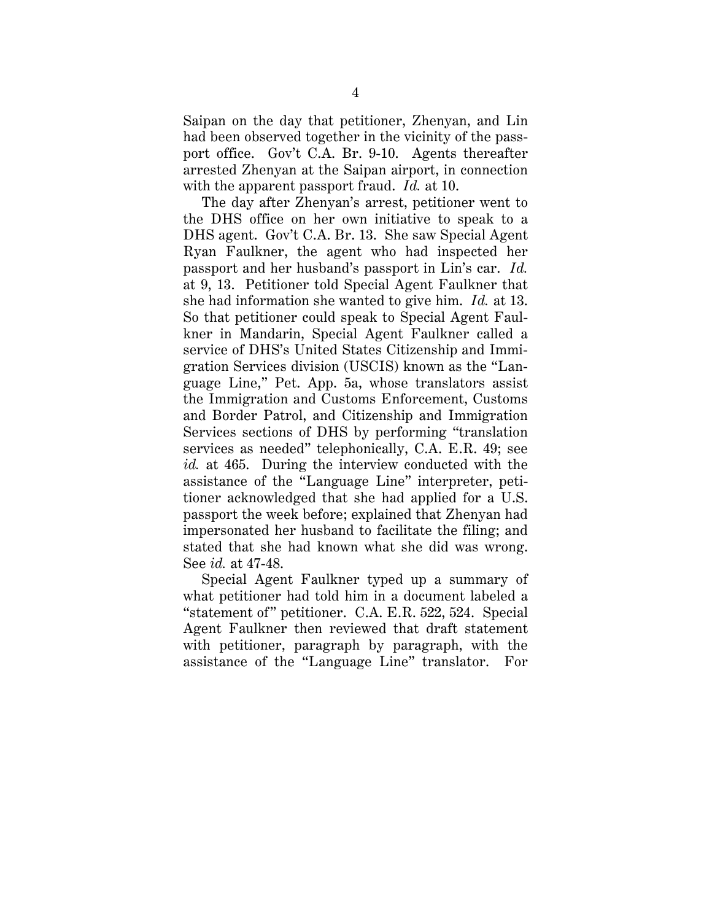Saipan on the day that petitioner, Zhenyan, and Lin had been observed together in the vicinity of the passport office. Gov't C.A. Br. 9-10. Agents thereafter arrested Zhenyan at the Saipan airport, in connection with the apparent passport fraud. *Id.* at 10.

The day after Zhenyan's arrest, petitioner went to the DHS office on her own initiative to speak to a DHS agent. Gov't C.A. Br. 13. She saw Special Agent Ryan Faulkner, the agent who had inspected her passport and her husband's passport in Lin's car. *Id.* at 9, 13. Petitioner told Special Agent Faulkner that she had information she wanted to give him. *Id.* at 13. So that petitioner could speak to Special Agent Faulkner in Mandarin, Special Agent Faulkner called a service of DHS's United States Citizenship and Immigration Services division (USCIS) known as the "Language Line," Pet. App. 5a, whose translators assist the Immigration and Customs Enforcement, Customs and Border Patrol, and Citizenship and Immigration Services sections of DHS by performing "translation services as needed" telephonically, C.A. E.R. 49; see *id.* at 465. During the interview conducted with the assistance of the "Language Line" interpreter, petitioner acknowledged that she had applied for a U.S. passport the week before; explained that Zhenyan had impersonated her husband to facilitate the filing; and stated that she had known what she did was wrong. See *id.* at 47-48.

Special Agent Faulkner typed up a summary of what petitioner had told him in a document labeled a "statement of" petitioner. C.A. E.R. 522, 524. Special Agent Faulkner then reviewed that draft statement with petitioner, paragraph by paragraph, with the assistance of the "Language Line" translator. For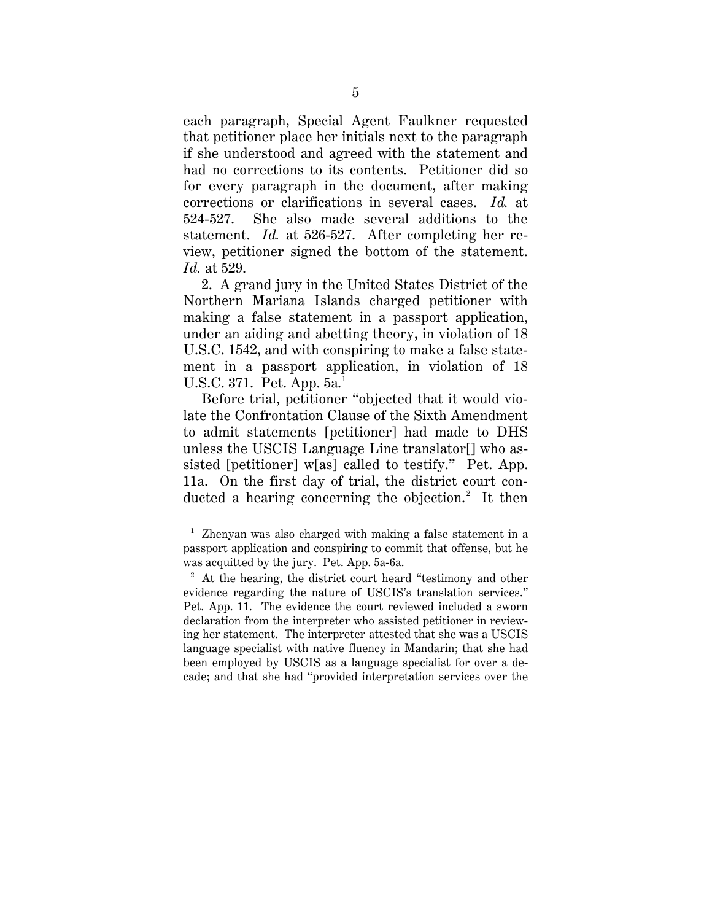each paragraph, Special Agent Faulkner requested that petitioner place her initials next to the paragraph if she understood and agreed with the statement and had no corrections to its contents. Petitioner did so for every paragraph in the document, after making corrections or clarifications in several cases. *Id.* at 524-527. She also made several additions to the statement. *Id.* at 526-527. After completing her review, petitioner signed the bottom of the statement. *Id.* at 529.

2. A grand jury in the United States District of the Northern Mariana Islands charged petitioner with making a false statement in a passport application, under an aiding and abetting theory, in violation of 18 U.S.C. 1542, and with conspiring to make a false statement in a passport application, in violation of 18 U.S.C. 371. Pet. App. 5a.<sup>1</sup>

Before trial, petitioner "objected that it would violate the Confrontation Clause of the Sixth Amendment to admit statements [petitioner] had made to DHS unless the USCIS Language Line translator[] who assisted [petitioner] w[as] called to testify." Pet. App. 11a. On the first day of trial, the district court conducted a hearing concerning the objection. <sup>2</sup> It then

 <sup>1</sup> Zhenyan was also charged with making a false statement in a passport application and conspiring to commit that offense, but he was acquitted by the jury. Pet. App. 5a-6a.

<sup>&</sup>lt;sup>2</sup> At the hearing, the district court heard "testimony and other evidence regarding the nature of USCIS's translation services." Pet. App. 11. The evidence the court reviewed included a sworn declaration from the interpreter who assisted petitioner in reviewing her statement. The interpreter attested that she was a USCIS language specialist with native fluency in Mandarin; that she had been employed by USCIS as a language specialist for over a decade; and that she had "provided interpretation services over the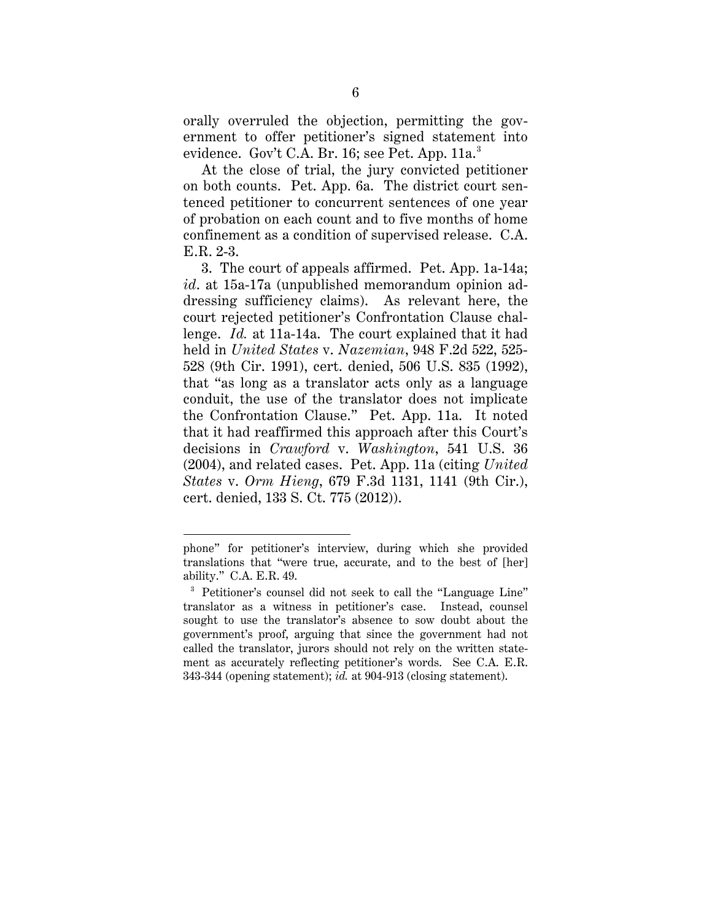orally overruled the objection, permitting the government to offer petitioner's signed statement into evidence. Gov't C.A. Br. 16; see Pet. App. 11a.<sup>3</sup>

At the close of trial, the jury convicted petitioner on both counts. Pet. App. 6a. The district court sentenced petitioner to concurrent sentences of one year of probation on each count and to five months of home confinement as a condition of supervised release. C.A. E.R. 2-3.

3. The court of appeals affirmed. Pet. App. 1a-14a; *id*. at 15a-17a (unpublished memorandum opinion addressing sufficiency claims). As relevant here, the court rejected petitioner's Confrontation Clause challenge. *Id.* at 11a-14a. The court explained that it had held in *United States* v. *Nazemian*, 948 F.2d 522, 525- 528 (9th Cir. 1991), cert. denied, 506 U.S. 835 (1992), that "as long as a translator acts only as a language conduit, the use of the translator does not implicate the Confrontation Clause." Pet. App. 11a. It noted that it had reaffirmed this approach after this Court's decisions in *Crawford* v. *Washington*, 541 U.S. 36 (2004), and related cases. Pet. App. 11a (citing *United States* v. *Orm Hieng*, 679 F.3d 1131, 1141 (9th Cir.), cert. denied, 133 S. Ct. 775 (2012)).

 $\overline{a}$ 

phone" for petitioner's interview, during which she provided translations that "were true, accurate, and to the best of [her] ability." C.A. E.R. 49.

<sup>&</sup>lt;sup>3</sup> Petitioner's counsel did not seek to call the "Language Line" translator as a witness in petitioner's case. Instead, counsel sought to use the translator's absence to sow doubt about the government's proof, arguing that since the government had not called the translator, jurors should not rely on the written statement as accurately reflecting petitioner's words. See C.A. E.R. 343-344 (opening statement); *id.* at 904-913 (closing statement).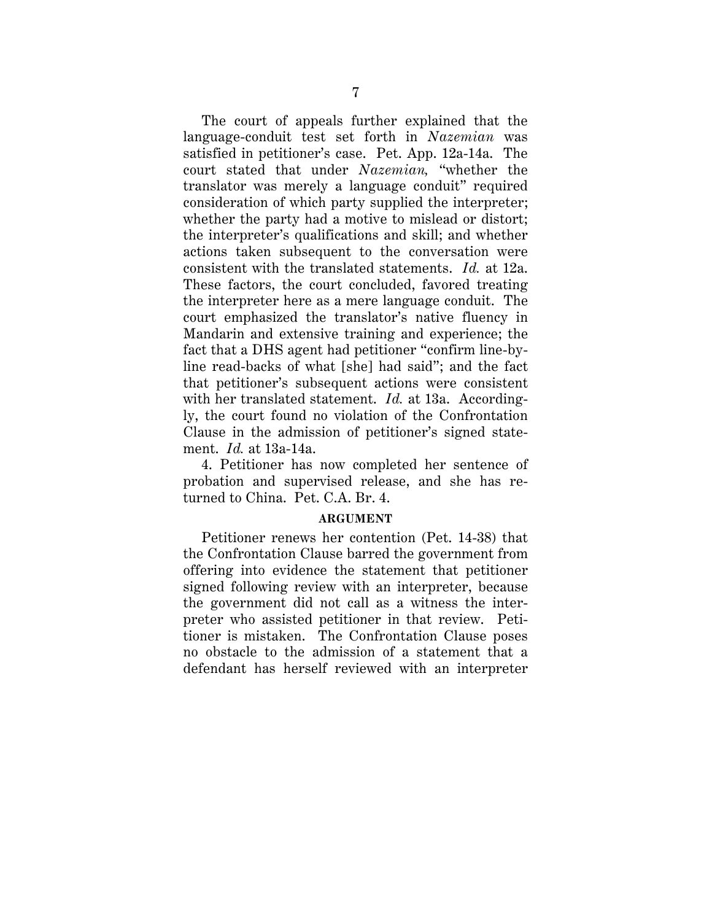The court of appeals further explained that the language-conduit test set forth in *Nazemian* was satisfied in petitioner's case. Pet. App. 12a-14a. The court stated that under *Nazemian,* "whether the translator was merely a language conduit" required consideration of which party supplied the interpreter; whether the party had a motive to mislead or distort; the interpreter's qualifications and skill; and whether actions taken subsequent to the conversation were consistent with the translated statements. *Id.* at 12a. These factors, the court concluded, favored treating the interpreter here as a mere language conduit. The court emphasized the translator's native fluency in Mandarin and extensive training and experience; the fact that a DHS agent had petitioner "confirm line-byline read-backs of what [she] had said"; and the fact that petitioner's subsequent actions were consistent with her translated statement. *Id.* at 13a. Accordingly, the court found no violation of the Confrontation Clause in the admission of petitioner's signed statement. *Id.* at 13a-14a.

4. Petitioner has now completed her sentence of probation and supervised release, and she has returned to China. Pet. C.A. Br. 4.

### **ARGUMENT**

Petitioner renews her contention (Pet. 14-38) that the Confrontation Clause barred the government from offering into evidence the statement that petitioner signed following review with an interpreter, because the government did not call as a witness the interpreter who assisted petitioner in that review. Petitioner is mistaken. The Confrontation Clause poses no obstacle to the admission of a statement that a defendant has herself reviewed with an interpreter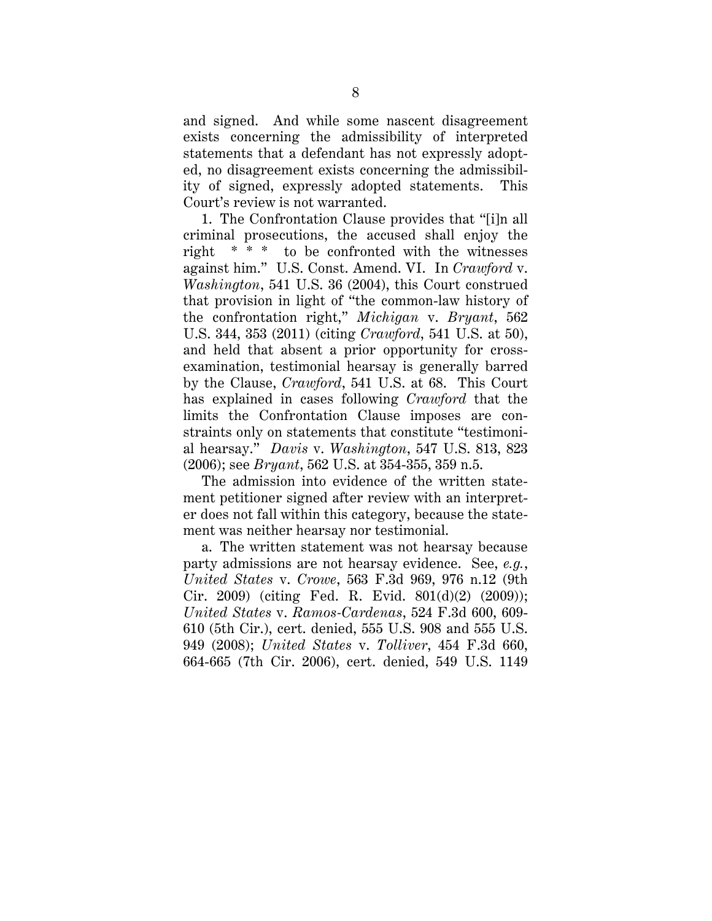and signed. And while some nascent disagreement exists concerning the admissibility of interpreted statements that a defendant has not expressly adopted, no disagreement exists concerning the admissibility of signed, expressly adopted statements. This Court's review is not warranted.

1. The Confrontation Clause provides that "[i]n all criminal prosecutions, the accused shall enjoy the right \* \* \* to be confronted with the witnesses against him." U.S. Const. Amend. VI. In *Crawford* v. *Washington*, 541 U.S. 36 (2004), this Court construed that provision in light of "the common-law history of the confrontation right," *Michigan* v. *Bryant*, 562 U.S. 344, 353 (2011) (citing *Crawford*, 541 U.S. at 50), and held that absent a prior opportunity for crossexamination, testimonial hearsay is generally barred by the Clause, *Crawford*, 541 U.S. at 68. This Court has explained in cases following *Crawford* that the limits the Confrontation Clause imposes are constraints only on statements that constitute "testimonial hearsay." *Davis* v. *Washington*, 547 U.S. 813, 823 (2006); see *Bryant*, 562 U.S. at 354-355, 359 n.5.

The admission into evidence of the written statement petitioner signed after review with an interpreter does not fall within this category, because the statement was neither hearsay nor testimonial.

a. The written statement was not hearsay because party admissions are not hearsay evidence. See, *e.g.*, *United States* v. *Crowe*, 563 F.3d 969, 976 n.12 (9th Cir. 2009) (citing Fed. R. Evid. 801(d)(2) (2009)); *United States* v. *Ramos-Cardenas*, 524 F.3d 600, 609- 610 (5th Cir.), cert. denied, 555 U.S. 908 and 555 U.S. 949 (2008); *United States* v. *Tolliver*, 454 F.3d 660, 664-665 (7th Cir. 2006), cert. denied, 549 U.S. 1149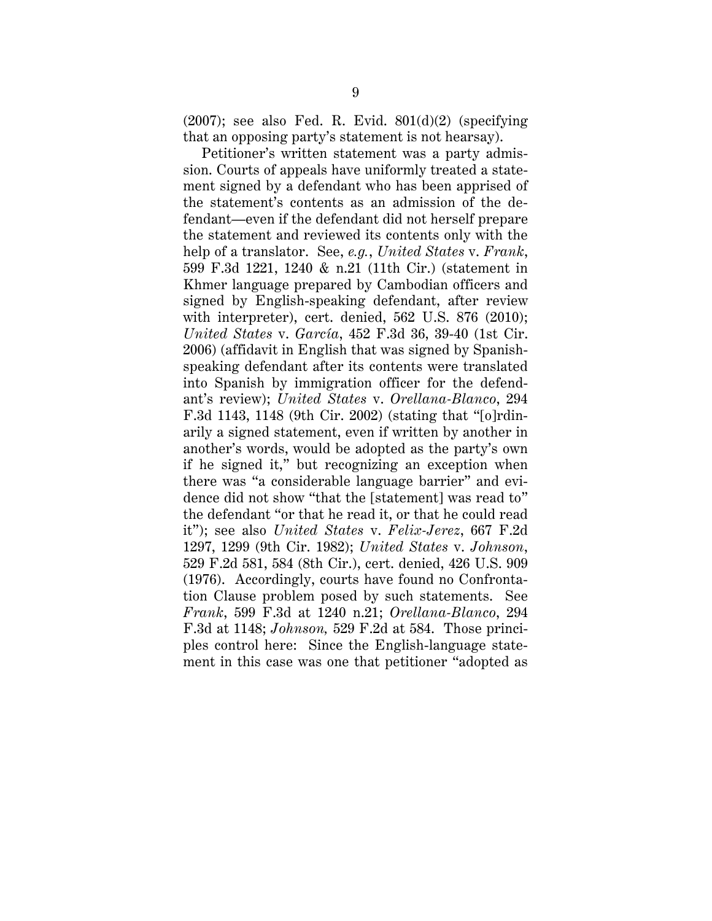$(2007)$ ; see also Fed. R. Evid.  $801(d)(2)$  (specifying that an opposing party's statement is not hearsay).

Petitioner's written statement was a party admission. Courts of appeals have uniformly treated a statement signed by a defendant who has been apprised of the statement's contents as an admission of the defendant—even if the defendant did not herself prepare the statement and reviewed its contents only with the help of a translator. See, *e.g.*, *United States* v. *Frank*, 599 F.3d 1221, 1240 & n.21 (11th Cir.) (statement in Khmer language prepared by Cambodian officers and signed by English-speaking defendant, after review with interpreter), cert. denied, 562 U.S. 876 (2010); *United States* v. *García*, 452 F.3d 36, 39-40 (1st Cir. 2006) (affidavit in English that was signed by Spanishspeaking defendant after its contents were translated into Spanish by immigration officer for the defendant's review); *United States* v. *Orellana-Blanco*, 294 F.3d 1143, 1148 (9th Cir. 2002) (stating that "[o]rdinarily a signed statement, even if written by another in another's words, would be adopted as the party's own if he signed it," but recognizing an exception when there was "a considerable language barrier" and evidence did not show "that the [statement] was read to" the defendant "or that he read it, or that he could read it"); see also *United States* v. *Felix-Jerez*, 667 F.2d 1297, 1299 (9th Cir. 1982); *United States* v. *Johnson*, 529 F.2d 581, 584 (8th Cir.), cert. denied, 426 U.S. 909 (1976). Accordingly, courts have found no Confrontation Clause problem posed by such statements. See *Frank*, 599 F.3d at 1240 n.21; *Orellana-Blanco*, 294 F.3d at 1148; *Johnson,* 529 F.2d at 584. Those principles control here: Since the English-language statement in this case was one that petitioner "adopted as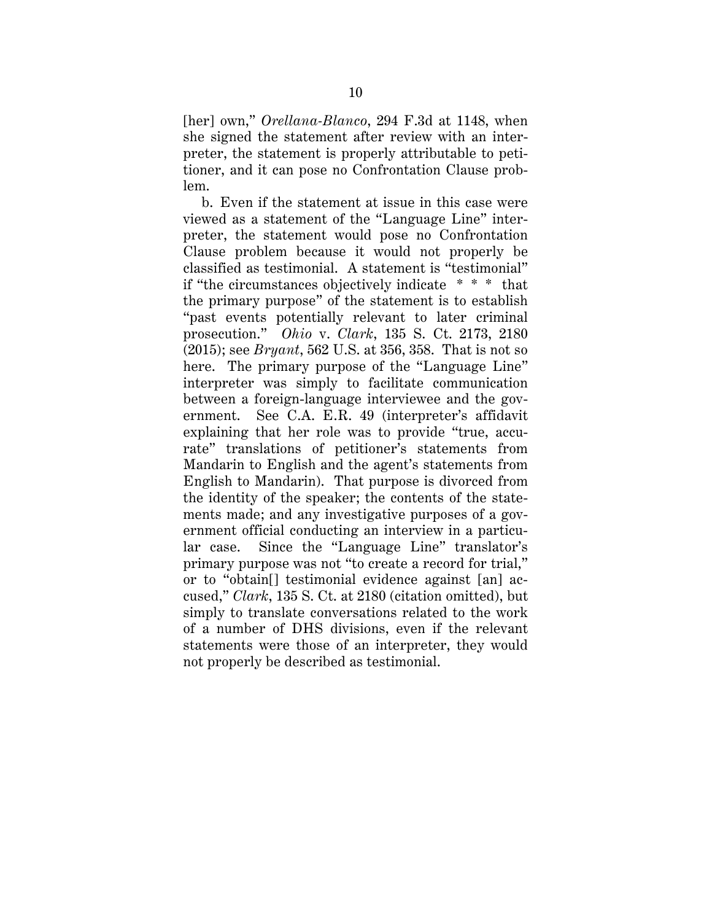[her] own," *Orellana-Blanco*, 294 F.3d at 1148, when she signed the statement after review with an interpreter, the statement is properly attributable to petitioner, and it can pose no Confrontation Clause problem.

b. Even if the statement at issue in this case were viewed as a statement of the "Language Line" interpreter, the statement would pose no Confrontation Clause problem because it would not properly be classified as testimonial. A statement is "testimonial" if "the circumstances objectively indicate \* \* \* that the primary purpose" of the statement is to establish "past events potentially relevant to later criminal prosecution." *Ohio* v. *Clark*, 135 S. Ct. 2173, 2180 (2015); see *Bryant*, 562 U.S. at 356, 358. That is not so here. The primary purpose of the "Language Line" interpreter was simply to facilitate communication between a foreign-language interviewee and the government. See C.A. E.R. 49 (interpreter's affidavit explaining that her role was to provide "true, accurate" translations of petitioner's statements from Mandarin to English and the agent's statements from English to Mandarin). That purpose is divorced from the identity of the speaker; the contents of the statements made; and any investigative purposes of a government official conducting an interview in a particular case. Since the "Language Line" translator's primary purpose was not "to create a record for trial," or to "obtain[] testimonial evidence against [an] accused," *Clark*, 135 S. Ct. at 2180 (citation omitted), but simply to translate conversations related to the work of a number of DHS divisions, even if the relevant statements were those of an interpreter, they would not properly be described as testimonial.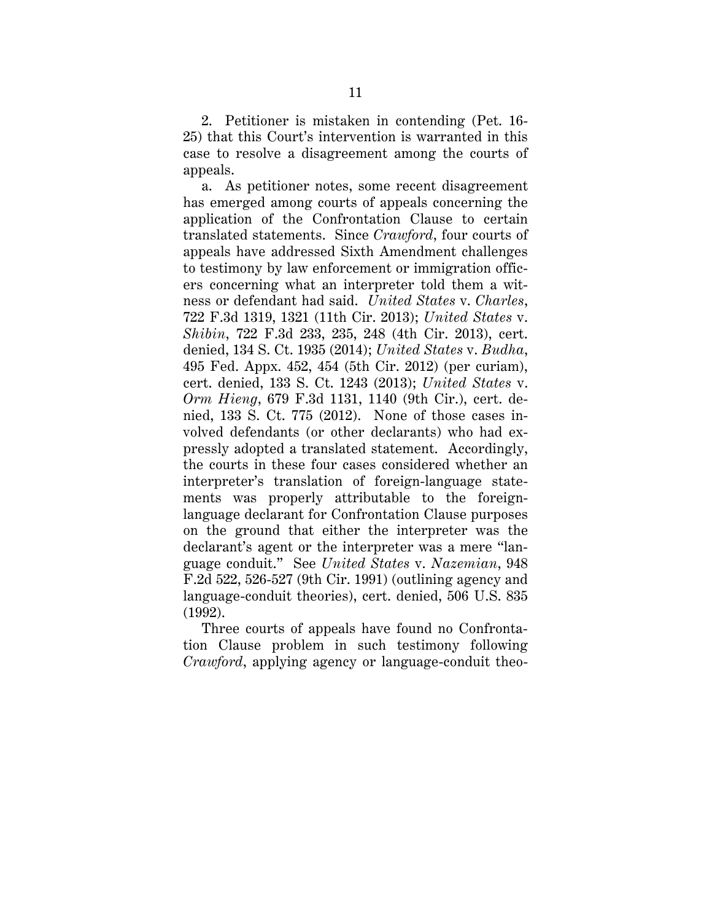2. Petitioner is mistaken in contending (Pet. 16- 25) that this Court's intervention is warranted in this case to resolve a disagreement among the courts of appeals.

a. As petitioner notes, some recent disagreement has emerged among courts of appeals concerning the application of the Confrontation Clause to certain translated statements. Since *Crawford*, four courts of appeals have addressed Sixth Amendment challenges to testimony by law enforcement or immigration officers concerning what an interpreter told them a witness or defendant had said. *United States* v. *Charles*, 722 F.3d 1319, 1321 (11th Cir. 2013); *United States* v. *Shibin*, 722 F.3d 233, 235, 248 (4th Cir. 2013), cert. denied, 134 S. Ct. 1935 (2014); *United States* v. *Budha*, 495 Fed. Appx. 452, 454 (5th Cir. 2012) (per curiam), cert. denied, 133 S. Ct. 1243 (2013); *United States* v. *Orm Hieng*, 679 F.3d 1131, 1140 (9th Cir.), cert. denied, 133 S. Ct. 775 (2012). None of those cases involved defendants (or other declarants) who had expressly adopted a translated statement. Accordingly, the courts in these four cases considered whether an interpreter's translation of foreign-language statements was properly attributable to the foreignlanguage declarant for Confrontation Clause purposes on the ground that either the interpreter was the declarant's agent or the interpreter was a mere "language conduit." See *United States* v. *Nazemian*, 948 F.2d 522, 526-527 (9th Cir. 1991) (outlining agency and language-conduit theories), cert. denied, 506 U.S. 835 (1992).

Three courts of appeals have found no Confrontation Clause problem in such testimony following *Crawford*, applying agency or language-conduit theo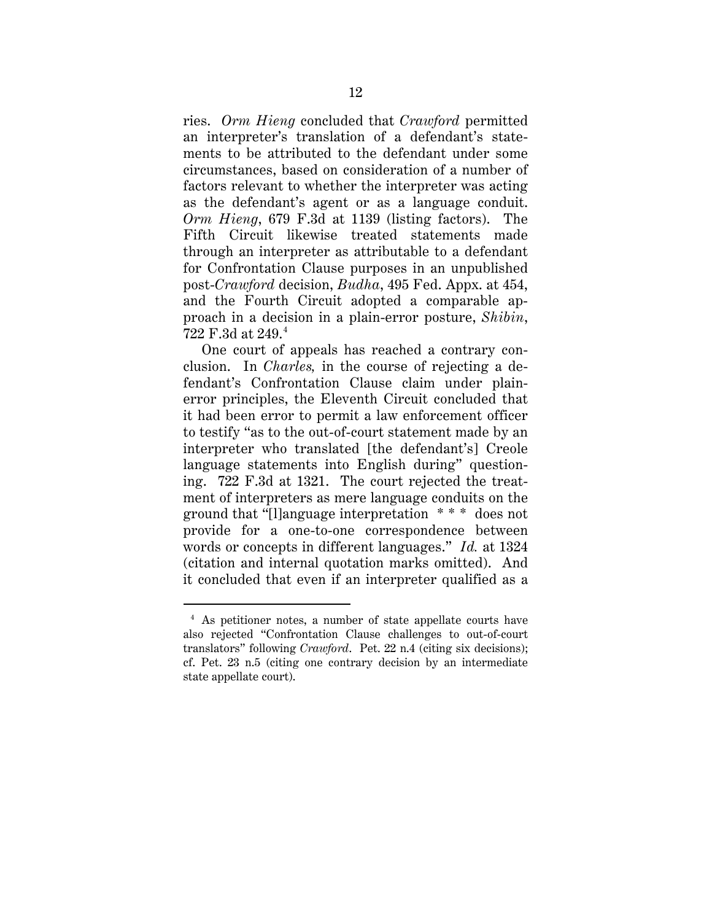ries. *Orm Hieng* concluded that *Crawford* permitted an interpreter's translation of a defendant's statements to be attributed to the defendant under some circumstances, based on consideration of a number of factors relevant to whether the interpreter was acting as the defendant's agent or as a language conduit. *Orm Hieng*, 679 F.3d at 1139 (listing factors). The Fifth Circuit likewise treated statements made through an interpreter as attributable to a defendant for Confrontation Clause purposes in an unpublished post-*Crawford* decision, *Budha*, 495 Fed. Appx. at 454, and the Fourth Circuit adopted a comparable approach in a decision in a plain-error posture, *Shibin*, 722 F.3d at 249. 4

One court of appeals has reached a contrary conclusion. In *Charles,* in the course of rejecting a defendant's Confrontation Clause claim under plainerror principles, the Eleventh Circuit concluded that it had been error to permit a law enforcement officer to testify "as to the out-of-court statement made by an interpreter who translated [the defendant's] Creole language statements into English during" questioning. 722 F.3d at 1321. The court rejected the treatment of interpreters as mere language conduits on the ground that "[l]anguage interpretation \* \* \* does not provide for a one-to-one correspondence between words or concepts in different languages." *Id.* at 1324 (citation and internal quotation marks omitted). And it concluded that even if an interpreter qualified as a

 <sup>4</sup> As petitioner notes, a number of state appellate courts have also rejected "Confrontation Clause challenges to out-of-court translators" following *Crawford*. Pet. 22 n.4 (citing six decisions); cf. Pet. 23 n.5 (citing one contrary decision by an intermediate state appellate court).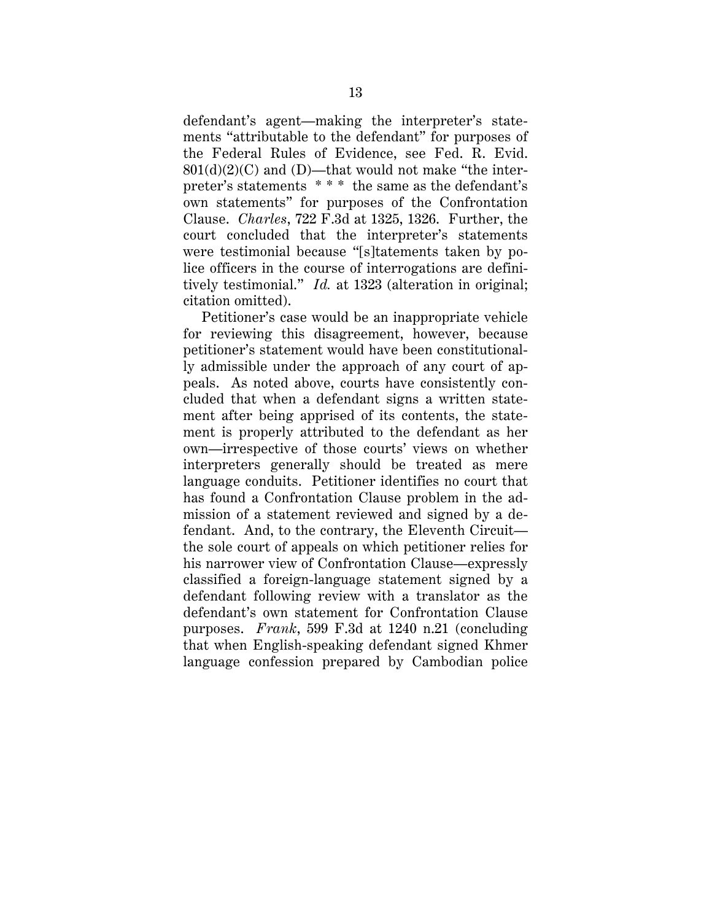defendant's agent—making the interpreter's statements "attributable to the defendant" for purposes of the Federal Rules of Evidence, see Fed. R. Evid.  $801(d)(2)(C)$  and (D)—that would not make "the interpreter's statements \* \* \* the same as the defendant's own statements" for purposes of the Confrontation Clause. *Charles*, 722 F.3d at 1325, 1326. Further, the court concluded that the interpreter's statements were testimonial because "[s]tatements taken by police officers in the course of interrogations are definitively testimonial." *Id.* at 1323 (alteration in original; citation omitted).

Petitioner's case would be an inappropriate vehicle for reviewing this disagreement, however, because petitioner's statement would have been constitutionally admissible under the approach of any court of appeals. As noted above, courts have consistently concluded that when a defendant signs a written statement after being apprised of its contents, the statement is properly attributed to the defendant as her own—irrespective of those courts' views on whether interpreters generally should be treated as mere language conduits. Petitioner identifies no court that has found a Confrontation Clause problem in the admission of a statement reviewed and signed by a defendant. And, to the contrary, the Eleventh Circuit the sole court of appeals on which petitioner relies for his narrower view of Confrontation Clause—expressly classified a foreign-language statement signed by a defendant following review with a translator as the defendant's own statement for Confrontation Clause purposes. *Frank*, 599 F.3d at 1240 n.21 (concluding that when English-speaking defendant signed Khmer language confession prepared by Cambodian police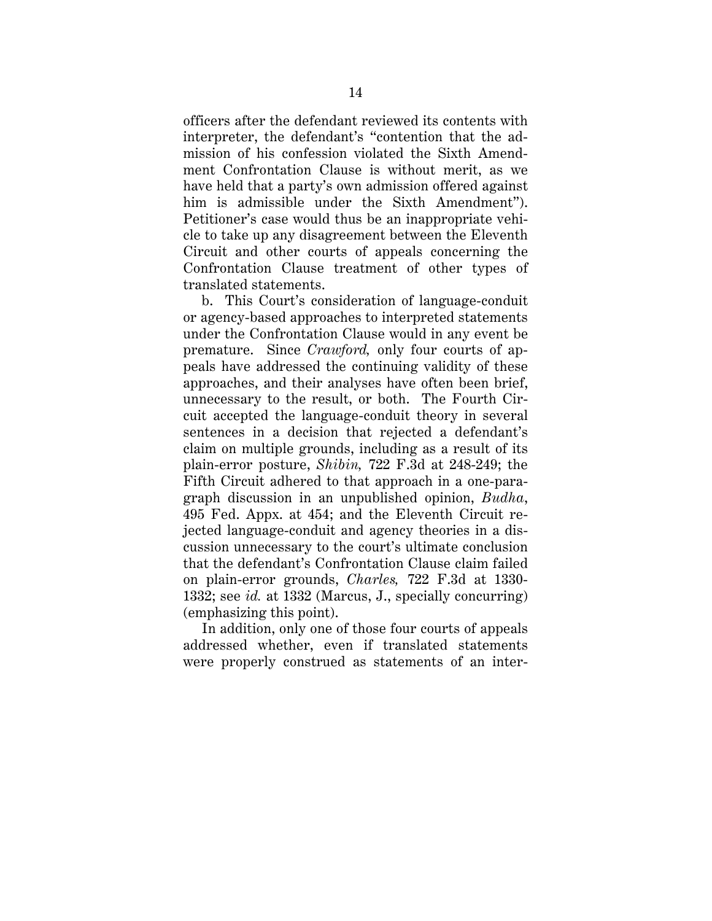officers after the defendant reviewed its contents with interpreter, the defendant's "contention that the admission of his confession violated the Sixth Amendment Confrontation Clause is without merit, as we have held that a party's own admission offered against him is admissible under the Sixth Amendment"). Petitioner's case would thus be an inappropriate vehicle to take up any disagreement between the Eleventh Circuit and other courts of appeals concerning the Confrontation Clause treatment of other types of translated statements.

b. This Court's consideration of language-conduit or agency-based approaches to interpreted statements under the Confrontation Clause would in any event be premature. Since *Crawford,* only four courts of appeals have addressed the continuing validity of these approaches, and their analyses have often been brief, unnecessary to the result, or both. The Fourth Circuit accepted the language-conduit theory in several sentences in a decision that rejected a defendant's claim on multiple grounds, including as a result of its plain-error posture, *Shibin,* 722 F.3d at 248-249; the Fifth Circuit adhered to that approach in a one-paragraph discussion in an unpublished opinion, *Budha*, 495 Fed. Appx. at 454; and the Eleventh Circuit rejected language-conduit and agency theories in a discussion unnecessary to the court's ultimate conclusion that the defendant's Confrontation Clause claim failed on plain-error grounds, *Charles,* 722 F.3d at 1330- 1332; see *id.* at 1332 (Marcus, J., specially concurring) (emphasizing this point).

In addition, only one of those four courts of appeals addressed whether, even if translated statements were properly construed as statements of an inter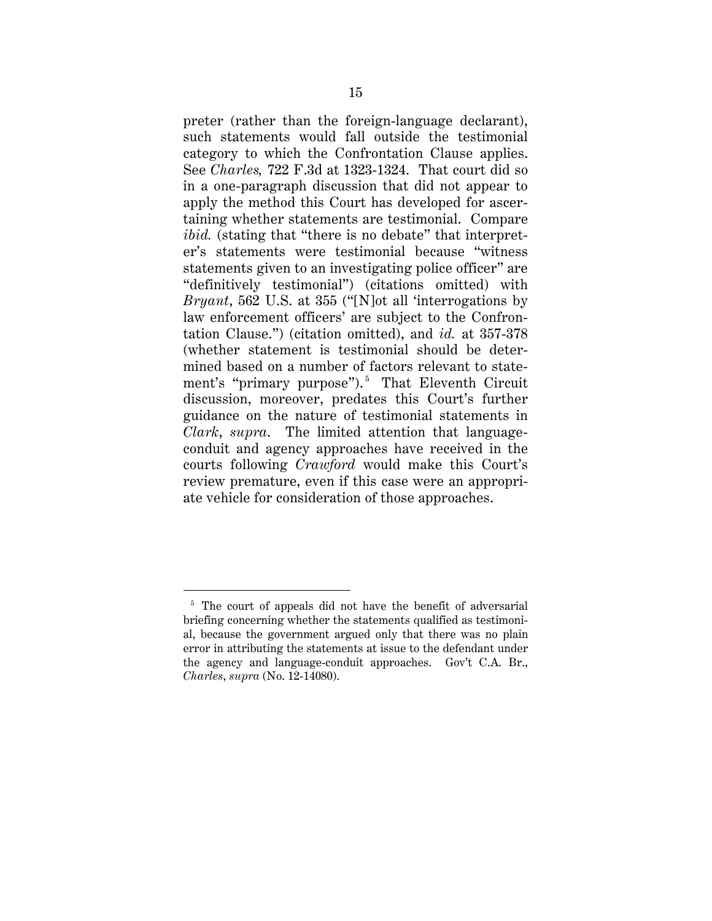preter (rather than the foreign-language declarant), such statements would fall outside the testimonial category to which the Confrontation Clause applies. See *Charles,* 722 F.3d at 1323-1324. That court did so in a one-paragraph discussion that did not appear to apply the method this Court has developed for ascertaining whether statements are testimonial. Compare *ibid.* (stating that "there is no debate" that interpreter's statements were testimonial because "witness statements given to an investigating police officer" are "definitively testimonial") (citations omitted) with *Bryant*, 562 U.S. at 355 ("[N]ot all 'interrogations by law enforcement officers' are subject to the Confrontation Clause.") (citation omitted), and *id.* at 357-378 (whether statement is testimonial should be determined based on a number of factors relevant to statement's "primary purpose"). <sup>5</sup> That Eleventh Circuit discussion, moreover, predates this Court's further guidance on the nature of testimonial statements in *Clark*, *supra*. The limited attention that languageconduit and agency approaches have received in the courts following *Crawford* would make this Court's review premature, even if this case were an appropriate vehicle for consideration of those approaches.

<sup>&</sup>lt;sup>5</sup> The court of appeals did not have the benefit of adversarial briefing concerning whether the statements qualified as testimonial, because the government argued only that there was no plain error in attributing the statements at issue to the defendant under the agency and language-conduit approaches. Gov't C.A. Br., *Charles*, *supra* (No. 12-14080).